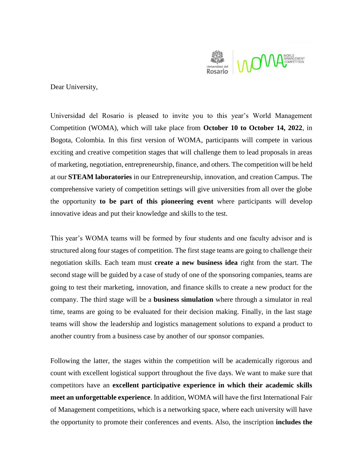

Dear University,

Universidad del Rosario is pleased to invite you to this year's World Management Competition (WOMA), which will take place from **October 10 to October 14, 2022**, in Bogota, Colombia. In this first version of WOMA, participants will compete in various exciting and creative competition stages that will challenge them to lead proposals in areas of marketing, negotiation, entrepreneurship, finance, and others. The competition will be held at our **STEAM laboratories** in our Entrepreneurship, innovation, and creation Campus. The comprehensive variety of competition settings will give universities from all over the globe the opportunity **to be part of this pioneering event** where participants will develop innovative ideas and put their knowledge and skills to the test.

This year's WOMA teams will be formed by four students and one faculty advisor and is structured along four stages of competition. The first stage teams are going to challenge their negotiation skills. Each team must **create a new business idea** right from the start. The second stage will be guided by a case of study of one of the sponsoring companies, teams are going to test their marketing, innovation, and finance skills to create a new product for the company. The third stage will be a **business simulation** where through a simulator in real time, teams are going to be evaluated for their decision making. Finally, in the last stage teams will show the leadership and logistics management solutions to expand a product to another country from a business case by another of our sponsor companies.

Following the latter, the stages within the competition will be academically rigorous and count with excellent logistical support throughout the five days. We want to make sure that competitors have an **excellent participative experience in which their academic skills meet an unforgettable experience**. In addition, WOMA will have the first International Fair of Management competitions, which is a networking space, where each university will have the opportunity to promote their conferences and events. Also, the inscription **includes the**